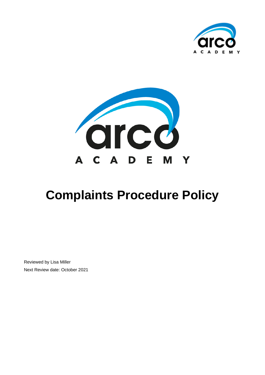



# **Complaints Procedure Policy**

Reviewed by Lisa Miller Next Review date: October 2021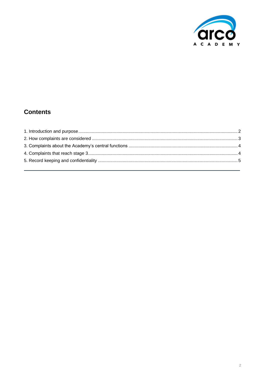

# **Contents**

<span id="page-1-0"></span>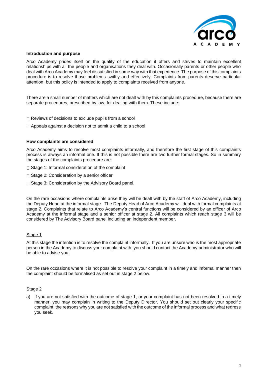

#### **Introduction and purpose**

Arco Academy prides itself on the quality of the education it offers and strives to maintain excellent relationships with all the people and organisations they deal with. Occasionally parents or other people who deal with Arco Academy may feel dissatisfied in some way with that experience. The purpose of this complaints procedure is to resolve those problems swiftly and effectively. Complaints from parents deserve particular attention, but this policy is intended to apply to complaints received from anyone.

There are a small number of matters which are not dealt with by this complaints procedure, because there are separate procedures, prescribed by law, for dealing with them. These include:

- $\Box$  Reviews of decisions to exclude pupils from a school
- $\Box$  Appeals against a decision not to admit a child to a school

## **How complaints are considered**

Arco Academy aims to resolve most complaints informally, and therefore the first stage of this complaints process is always an informal one. If this is not possible there are two further formal stages. So in summary the stages of the complaints procedure are:

- $\Box$  Stage 1: Informal consideration of the complaint
- $\Box$  Stage 2: Consideration by a senior officer
- $\Box$  Stage 3: Consideration by the Advisory Board panel.

On the rare occasions where complaints arise they will be dealt with by the staff of Arco Academy, including the Deputy Head at the informal stage. The Deputy Head of Arco Academy will deal with formal complaints at stage 2. Complaints that relate to Arco Academy's central functions will be considered by an officer of Arco Academy at the informal stage and a senior officer at stage 2. All complaints which reach stage 3 will be considered by The Advisory Board panel including an independent member.

#### Stage 1

At this stage the intention is to resolve the complaint informally. If you are unsure who is the most appropriate person in the Academy to discuss your complaint with, you should contact the Academy administrator who will be able to advise you.

On the rare occasions where it is not possible to resolve your complaint in a timely and informal manner then the complaint should be formalised as set out in stage 2 below.

#### Stage 2

a) If you are not satisfied with the outcome of stage 1, or your complaint has not been resolved in a timely manner, you may complain in writing to the Deputy Director. You should set out clearly your specific complaint, the reasons why you are not satisfied with the outcome of the informal process and what redress you seek.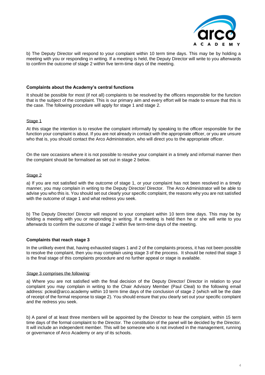

b) The Deputy Director will respond to your complaint within 10 term time days. This may be by holding a meeting with you or responding in writing. If a meeting is held, the Deputy Director will write to you afterwards to confirm the outcome of stage 2 within five term-time days of the meeting.

## **Complaints about the Academy's central functions**

It should be possible for most (if not all) complaints to be resolved by the officers responsible for the function that is the subject of the complaint. This is our primary aim and every effort will be made to ensure that this is the case. The following procedure will apply for stage 1 and stage 2.

## Stage 1

At this stage the intention is to resolve the complaint informally by speaking to the officer responsible for the function your complaint is about. If you are not already in contact with the appropriate officer, or you are unsure who that is, you should contact the Arco Administration, who will direct you to the appropriate officer.

On the rare occasions where it is not possible to resolve your complaint in a timely and informal manner then the complaint should be formalised as set out in stage 2 below.

## Stage 2

a) If you are not satisfied with the outcome of stage 1, or your complaint has not been resolved in a timely manner, you may complain in writing to the Deputy Director/ Director. The Arco Administrator will be able to advise you who this is. You should set out clearly your specific complaint, the reasons why you are not satisfied with the outcome of stage 1 and what redress you seek.

b) The Deputy Director/ Director will respond to your complaint within 10 term time days. This may be by holding a meeting with you or responding in writing. If a meeting is held then he or she will write to you afterwards to confirm the outcome of stage 2 within five term-time days of the meeting.

# **Complaints that reach stage 3**

In the unlikely event that, having exhausted stages 1 and 2 of the complaints process, it has not been possible to resolve the complaint, then you may complain using stage 3 of the process. It should be noted that stage 3 is the final stage of this complaints procedure and no further appeal or stage is available.

#### *Stage* 3 comprises the following:

a) Where you are not satisfied with the final decision of the Deputy Director/ Director in relation to your complaint you may complain in writing to the Chair Advisory Member (Paul Cleal) to the following email address: pcleal@arco.academy within 10 term time days of the conclusion of stage 2 (which will be the date of receipt of the formal response to stage 2). You should ensure that you clearly set out your specific complaint and the redress you seek.

b) A panel of at least three members will be appointed by the Director to hear the complaint, within 15 term time days of the formal complaint to the Director. The constitution of the panel will be decided by the Director. It will include an independent member. This will be someone who is not involved in the management, running or governance of Arco Academy or any of its schools.